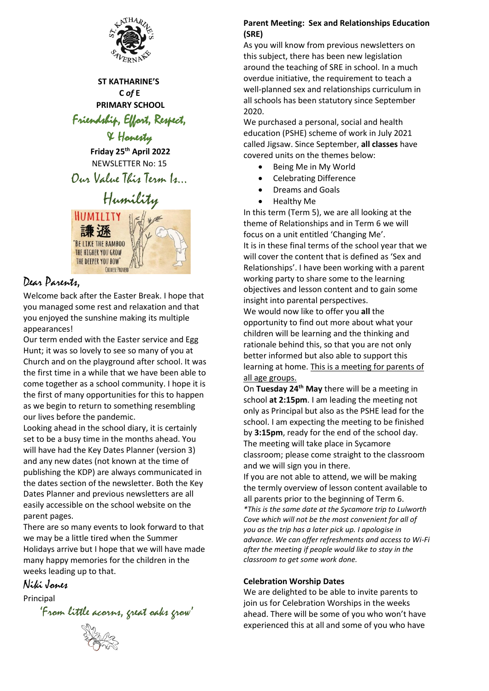

 **ST KATHARINE'S C** *of* **E PRIMARY SCHOOL** Friendship, Effort, Respect,

& Honesty

**Friday 25th April 2022** NEWSLETTER No: 15

Our Value This Term Is…

# Humility

HUMILITY 謙遜 BE LIKE THE BAMBOO THE HIGHER YOU GROW THE DEEPER YOU BOW" **CHINFSE PROVERS** 

# Dear Parents,

Welcome back after the Easter Break. I hope that you managed some rest and relaxation and that you enjoyed the sunshine making its multiple appearances!

Our term ended with the Easter service and Egg Hunt; it was so lovely to see so many of you at Church and on the playground after school. It was the first time in a while that we have been able to come together as a school community. I hope it is the first of many opportunities for this to happen as we begin to return to something resembling our lives before the pandemic.

Looking ahead in the school diary, it is certainly set to be a busy time in the months ahead. You will have had the Key Dates Planner (version 3) and any new dates (not known at the time of publishing the KDP) are always communicated in the dates section of the newsletter. Both the Key Dates Planner and previous newsletters are all easily accessible on the school website on the parent pages.

There are so many events to look forward to that we may be a little tired when the Summer Holidays arrive but I hope that we will have made many happy memories for the children in the weeks leading up to that.

## Niki Jones

Principal

'From little acorns, great oaks grow'

#### **Parent Meeting: Sex and Relationships Education (SRE)**

As you will know from previous newsletters on this subject, there has been new legislation around the teaching of SRE in school. In a much overdue initiative, the requirement to teach a well-planned sex and relationships curriculum in all schools has been statutory since September 2020.

We purchased a personal, social and health education (PSHE) scheme of work in July 2021 called Jigsaw. Since September, **all classes** have covered units on the themes below:

- Being Me in My World
- Celebrating Difference
- Dreams and Goals
- Healthy Me

In this term (Term 5), we are all looking at the theme of Relationships and in Term 6 we will focus on a unit entitled 'Changing Me'. It is in these final terms of the school year that we will cover the content that is defined as 'Sex and Relationships'. I have been working with a parent working party to share some to the learning objectives and lesson content and to gain some insight into parental perspectives. We would now like to offer you **all** the opportunity to find out more about what your children will be learning and the thinking and rationale behind this, so that you are not only better informed but also able to support this learning at home. This is a meeting for parents of all age groups.

On **Tuesday 24th May** there will be a meeting in school **at 2:15pm**. I am leading the meeting not only as Principal but also as the PSHE lead for the school. I am expecting the meeting to be finished by **3:15pm**, ready for the end of the school day. The meeting will take place in Sycamore classroom; please come straight to the classroom and we will sign you in there.

If you are not able to attend, we will be making the termly overview of lesson content available to all parents prior to the beginning of Term 6. *\*This is the same date at the Sycamore trip to Lulworth Cove which will not be the most convenient for all of you as the trip has a later pick up. I apologise in advance. We can offer refreshments and access to Wi-Fi after the meeting if people would like to stay in the classroom to get some work done.*

#### **Celebration Worship Dates**

We are delighted to be able to invite parents to join us for Celebration Worships in the weeks ahead. There will be some of you who won't have experienced this at all and some of you who have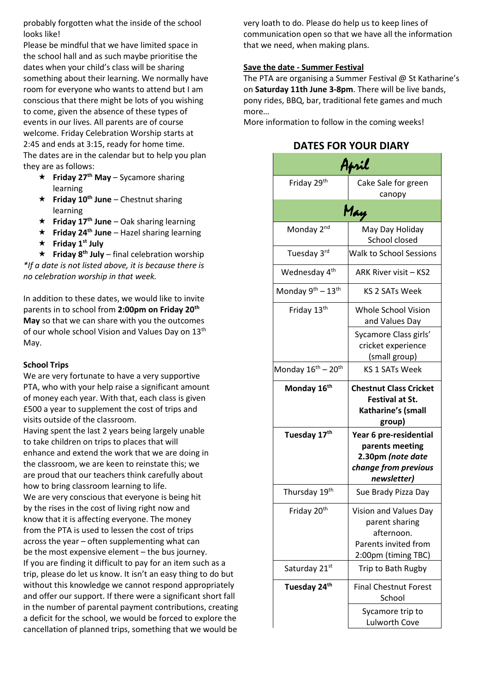probably forgotten what the inside of the school looks like!

Please be mindful that we have limited space in the school hall and as such maybe prioritise the dates when your child's class will be sharing something about their learning. We normally have room for everyone who wants to attend but I am conscious that there might be lots of you wishing to come, given the absence of these types of events in our lives. All parents are of course welcome. Friday Celebration Worship starts at 2:45 and ends at 3:15, ready for home time. The dates are in the calendar but to help you plan they are as follows:

- **Friday 27th May** Sycamore sharing learning
- **Friday 10th June** Chestnut sharing learning
- **Friday 17th June** Oak sharing learning
- **Friday 24th June** Hazel sharing learning
- **Friday 1st July**

 $\star$  **Friday 8<sup>th</sup> July** – final celebration worship *\*If a date is not listed above, it is because there is no celebration worship in that week.*

In addition to these dates, we would like to invite parents in to school from **2:00pm on Friday 20th May** so that we can share with you the outcomes of our whole school Vision and Values Day on 13<sup>th</sup> May.

#### **School Trips**

We are very fortunate to have a very supportive PTA, who with your help raise a significant amount of money each year. With that, each class is given £500 a year to supplement the cost of trips and visits outside of the classroom.

Having spent the last 2 years being largely unable to take children on trips to places that will enhance and extend the work that we are doing in the classroom, we are keen to reinstate this; we are proud that our teachers think carefully about how to bring classroom learning to life. We are very conscious that everyone is being hit by the rises in the cost of living right now and know that it is affecting everyone. The money from the PTA is used to lessen the cost of trips across the year – often supplementing what can be the most expensive element – the bus journey. If you are finding it difficult to pay for an item such as a trip, please do let us know. It isn't an easy thing to do but without this knowledge we cannot respond appropriately and offer our support. If there were a significant short fall in the number of parental payment contributions, creating a deficit for the school, we would be forced to explore the cancellation of planned trips, something that we would be

very loath to do. Please do help us to keep lines of communication open so that we have all the information that we need, when making plans.

#### **Save the date - Summer Festival**

The PTA are organising a Summer Festival @ St Katharine's on **Saturday 11th June 3-8pm**. There will be live bands, pony rides, BBQ, bar, traditional fete games and much more…

More information to follow in the coming weeks!

## **DATES FOR YOUR DIARY**

| April                                      |                                                                                                       |  |
|--------------------------------------------|-------------------------------------------------------------------------------------------------------|--|
| Friday 29 <sup>th</sup>                    | Cake Sale for green<br>canopy                                                                         |  |
| May                                        |                                                                                                       |  |
| Monday 2 <sup>nd</sup>                     | May Day Holiday<br>School closed                                                                      |  |
| Tuesday 3rd                                | <b>Walk to School Sessions</b>                                                                        |  |
| Wednesday 4 <sup>th</sup>                  | ARK River visit - KS2                                                                                 |  |
| Monday 9 <sup>th</sup> - 13 <sup>th</sup>  | KS 2 SATs Week                                                                                        |  |
| Friday 13 <sup>th</sup>                    | Whole School Vision<br>and Values Day                                                                 |  |
|                                            | Sycamore Class girls'<br>cricket experience<br>(small group)                                          |  |
| Monday 16 <sup>th</sup> – 20 <sup>th</sup> | <b>KS 1 SATs Week</b>                                                                                 |  |
| Monday 16 <sup>th</sup>                    | <b>Chestnut Class Cricket</b><br><b>Festival at St.</b><br>Katharine's (small<br>group)               |  |
| Tuesday 17 <sup>th</sup>                   | Year 6 pre-residential<br>parents meeting<br>2.30pm (note date<br>change from previous<br>newsletter) |  |
| Thursday 19th                              | Sue Brady Pizza Day                                                                                   |  |
| Friday 20 <sup>th</sup>                    | Vision and Values Day<br>parent sharing<br>afternoon.<br>Parents invited from<br>2:00pm (timing TBC)  |  |
| Saturday 21st                              | Trip to Bath Rugby                                                                                    |  |
| Tuesday 24 <sup>th</sup>                   | <b>Final Chestnut Forest</b><br>School                                                                |  |
|                                            | Sycamore trip to<br><b>Lulworth Cove</b>                                                              |  |